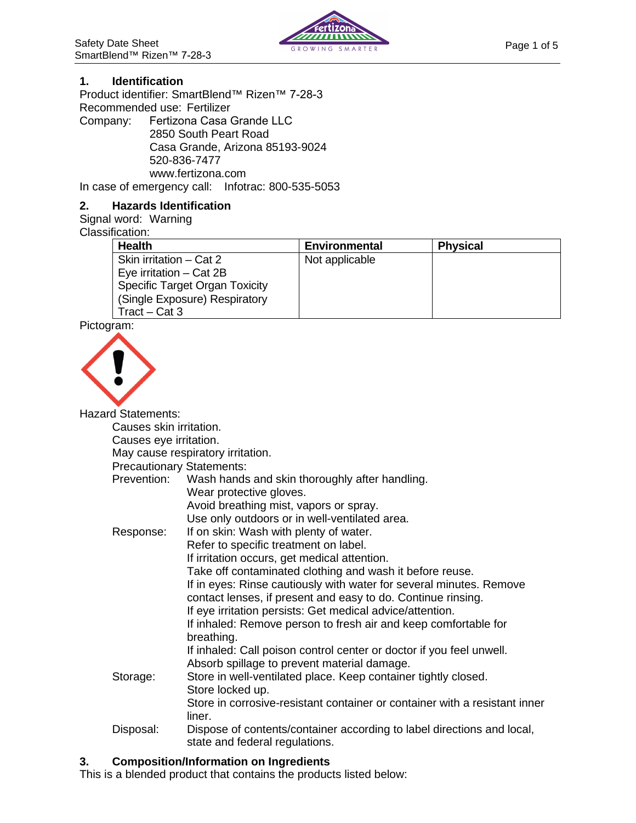

## **1. Identification**

Product identifier: SmartBlend™ Rizen™ 7-28-3 Recommended use: Fertilizer

Company: Fertizona Casa Grande LLC 2850 South Peart Road Casa Grande, Arizona 85193-9024 520-836-7477 www.fertizona.com In case of emergency call: Infotrac: 800-535-5053

## **2. Hazards Identification**

# Signal word: Warning

Classification:

| <b>Health</b>                         | Environmental  | <b>Physical</b> |  |
|---------------------------------------|----------------|-----------------|--|
| Skin irritation – Cat 2               | Not applicable |                 |  |
| Eye irritation $-$ Cat 2B             |                |                 |  |
| <b>Specific Target Organ Toxicity</b> |                |                 |  |
| (Single Exposure) Respiratory         |                |                 |  |
| $Tract - Cat 3$                       |                |                 |  |

Pictogram:



Hazard Statements:

Causes skin irritation.

Causes eye irritation.

May cause respiratory irritation.

Precautionary Statements:

| <u>Reported in the University.</u> |                                                                            |
|------------------------------------|----------------------------------------------------------------------------|
| Prevention:                        | Wash hands and skin thoroughly after handling.                             |
|                                    | Wear protective gloves.                                                    |
|                                    | Avoid breathing mist, vapors or spray.                                     |
|                                    | Use only outdoors or in well-ventilated area.                              |
| Response:                          | If on skin: Wash with plenty of water.                                     |
|                                    | Refer to specific treatment on label.                                      |
|                                    | If irritation occurs, get medical attention.                               |
|                                    | Take off contaminated clothing and wash it before reuse.                   |
|                                    | If in eyes: Rinse cautiously with water for several minutes. Remove        |
|                                    | contact lenses, if present and easy to do. Continue rinsing.               |
|                                    | If eye irritation persists: Get medical advice/attention.                  |
|                                    | If inhaled: Remove person to fresh air and keep comfortable for            |
|                                    | breathing.                                                                 |
|                                    | If inhaled: Call poison control center or doctor if you feel unwell.       |
|                                    | Absorb spillage to prevent material damage.                                |
| Storage:                           | Store in well-ventilated place. Keep container tightly closed.             |
|                                    | Store locked up.                                                           |
|                                    | Store in corrosive-resistant container or container with a resistant inner |
|                                    | liner.                                                                     |
| Disposal:                          | Dispose of contents/container according to label directions and local,     |
|                                    | state and federal regulations.                                             |

# **3. Composition/Information on Ingredients**

This is a blended product that contains the products listed below: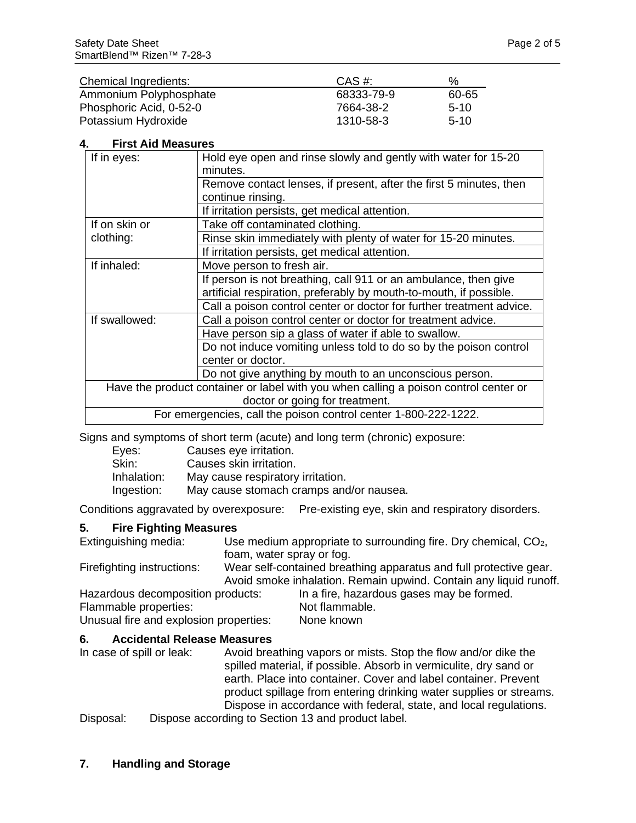| Chemical Ingredients:   | $CAS \#$   | %      |
|-------------------------|------------|--------|
| Ammonium Polyphosphate  | 68333-79-9 | 60-65  |
| Phosphoric Acid, 0-52-0 | 7664-38-2  | $5-10$ |
| Potassium Hydroxide     | 1310-58-3  | $5-10$ |

## **4. First Aid Measures**

| If in eyes:                                                                          | Hold eye open and rinse slowly and gently with water for 15-20<br>minutes. |  |
|--------------------------------------------------------------------------------------|----------------------------------------------------------------------------|--|
|                                                                                      | Remove contact lenses, if present, after the first 5 minutes, then         |  |
|                                                                                      | continue rinsing.                                                          |  |
|                                                                                      | If irritation persists, get medical attention.                             |  |
| If on skin or                                                                        | Take off contaminated clothing.                                            |  |
| clothing:                                                                            | Rinse skin immediately with plenty of water for 15-20 minutes.             |  |
|                                                                                      | If irritation persists, get medical attention.                             |  |
| If inhaled:                                                                          | Move person to fresh air.                                                  |  |
|                                                                                      | If person is not breathing, call 911 or an ambulance, then give            |  |
|                                                                                      | artificial respiration, preferably by mouth-to-mouth, if possible.         |  |
|                                                                                      | Call a poison control center or doctor for further treatment advice.       |  |
| If swallowed:                                                                        | Call a poison control center or doctor for treatment advice.               |  |
|                                                                                      | Have person sip a glass of water if able to swallow.                       |  |
|                                                                                      | Do not induce vomiting unless told to do so by the poison control          |  |
|                                                                                      | center or doctor.                                                          |  |
|                                                                                      | Do not give anything by mouth to an unconscious person.                    |  |
| Have the product container or label with you when calling a poison control center or |                                                                            |  |
| doctor or going for treatment.                                                       |                                                                            |  |
| For emergencies, call the poison control center 1-800-222-1222.                      |                                                                            |  |

Signs and symptoms of short term (acute) and long term (chronic) exposure:

| Eyes:       | Causes eye irritation.                  |
|-------------|-----------------------------------------|
| Skin:       | Causes skin irritation.                 |
| Inhalation: | May cause respiratory irritation.       |
| Ingestion:  | May cause stomach cramps and/or nausea. |

Conditions aggravated by overexposure: Pre-existing eye, skin and respiratory disorders.

#### **5. Fire Fighting Measures**

Extinguishing media: Use medium appropriate to surrounding fire. Dry chemical, CO<sub>2</sub>, foam, water spray or fog. Firefighting instructions: Wear self-contained breathing apparatus and full protective gear.

Avoid smoke inhalation. Remain upwind. Contain any liquid runoff. Hazardous decomposition products: In a fire, hazardous gases may be formed.

Flammable properties: Not flammable. Unusual fire and explosion properties: None known

# **6. Accidental Release Measures**

Avoid breathing vapors or mists. Stop the flow and/or dike the spilled material, if possible. Absorb in vermiculite, dry sand or earth. Place into container. Cover and label container. Prevent product spillage from entering drinking water supplies or streams. Dispose in accordance with federal, state, and local regulations.

Disposal: Dispose according to Section 13 and product label.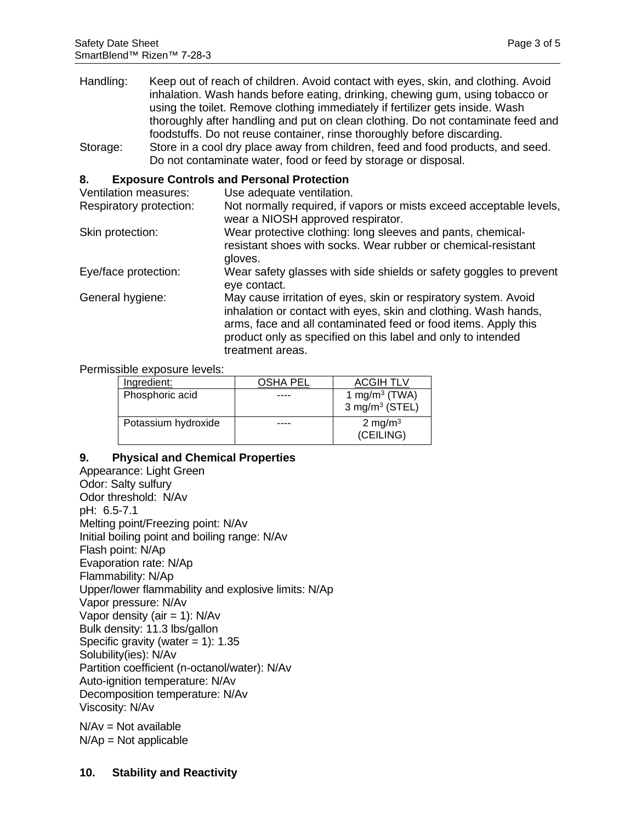- Handling: Keep out of reach of children. Avoid contact with eyes, skin, and clothing. Avoid inhalation. Wash hands before eating, drinking, chewing gum, using tobacco or using the toilet. Remove clothing immediately if fertilizer gets inside. Wash thoroughly after handling and put on clean clothing. Do not contaminate feed and foodstuffs. Do not reuse container, rinse thoroughly before discarding.
- Storage: Store in a cool dry place away from children, feed and food products, and seed. Do not contaminate water, food or feed by storage or disposal.

## **8. Exposure Controls and Personal Protection**

| Ventilation measures:   | Use adequate ventilation.                                                                                                                                                                                                                                                                |
|-------------------------|------------------------------------------------------------------------------------------------------------------------------------------------------------------------------------------------------------------------------------------------------------------------------------------|
| Respiratory protection: | Not normally required, if vapors or mists exceed acceptable levels,<br>wear a NIOSH approved respirator.                                                                                                                                                                                 |
| Skin protection:        | Wear protective clothing: long sleeves and pants, chemical-<br>resistant shoes with socks. Wear rubber or chemical-resistant<br>gloves.                                                                                                                                                  |
| Eye/face protection:    | Wear safety glasses with side shields or safety goggles to prevent<br>eye contact.                                                                                                                                                                                                       |
| General hygiene:        | May cause irritation of eyes, skin or respiratory system. Avoid<br>inhalation or contact with eyes, skin and clothing. Wash hands,<br>arms, face and all contaminated feed or food items. Apply this<br>product only as specified on this label and only to intended<br>treatment areas. |

Permissible exposure levels:

| Ingredient:         | OSHA PEL | <b>ACGIH TLV</b>                 |
|---------------------|----------|----------------------------------|
| Phosphoric acid     | ---      | 1 mg/m <sup>3</sup> (TWA)        |
|                     |          | $3$ mg/m <sup>3</sup> (STEL)     |
| Potassium hydroxide |          | 2 mg/m <sup>3</sup><br>(CEILING) |

# **9. Physical and Chemical Properties**

Appearance: Light Green Odor: Salty sulfury Odor threshold: N/Av pH: 6.5-7.1 Melting point/Freezing point: N/Av Initial boiling point and boiling range: N/Av Flash point: N/Ap Evaporation rate: N/Ap Flammability: N/Ap Upper/lower flammability and explosive limits: N/Ap Vapor pressure: N/Av Vapor density (air  $= 1$ ): N/Av Bulk density: 11.3 lbs/gallon Specific gravity (water  $= 1$ ): 1.35 Solubility(ies): N/Av Partition coefficient (n-octanol/water): N/Av Auto-ignition temperature: N/Av Decomposition temperature: N/Av Viscosity: N/Av

 $N/Av = Not available$  $N/Ap = Not applicable$ 

## **10. Stability and Reactivity**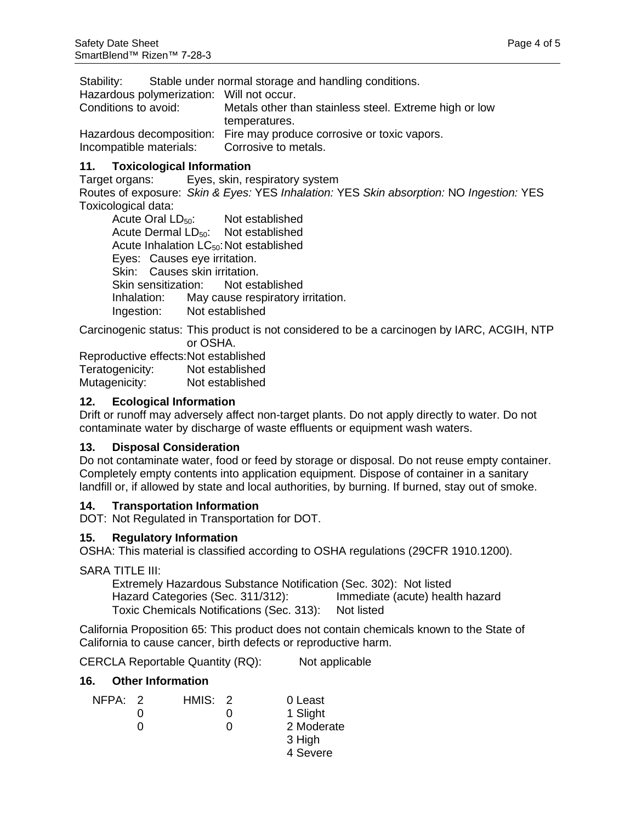Stability: Stable under normal storage and handling conditions.

Hazardous polymerization: Will not occur.

Conditions to avoid: Metals other than stainless steel. Extreme high or low temperatures. Hazardous decomposition: Fire may produce corrosive or toxic vapors. Incompatible materials: Corrosive to metals.

## **11. Toxicological Information**

Target organs: Eyes, skin, respiratory system Routes of exposure: *Skin & Eyes:* YES *Inhalation:* YES *Skin absorption:* NO *Ingestion:* YES Toxicological data:

Acute Oral LD<sub>50</sub>: Not established Acute Dermal LD<sub>50</sub>: Not established Acute Inhalation LC<sub>50</sub>: Not established Eyes: Causes eye irritation. Skin: Causes skin irritation.<br>Skin sensitization: Not established Skin sensitization: Inhalation: May cause respiratory irritation. Ingestion: Not established

Carcinogenic status: This product is not considered to be a carcinogen by IARC, ACGIH, NTP or OSHA.

Reproductive effects: Not established Teratogenicity: Not established Mutagenicity: Not established

## **12. Ecological Information**

Drift or runoff may adversely affect non-target plants. Do not apply directly to water. Do not contaminate water by discharge of waste effluents or equipment wash waters.

#### **13. Disposal Consideration**

Do not contaminate water, food or feed by storage or disposal. Do not reuse empty container. Completely empty contents into application equipment. Dispose of container in a sanitary landfill or, if allowed by state and local authorities, by burning. If burned, stay out of smoke.

## **14. Transportation Information**

DOT: Not Regulated in Transportation for DOT.

#### **15. Regulatory Information**

OSHA: This material is classified according to OSHA regulations (29CFR 1910.1200).

SARA TITLE III:

Extremely Hazardous Substance Notification (Sec. 302): Not listed Hazard Categories (Sec. 311/312): Immediate (acute) health hazard Toxic Chemicals Notifications (Sec. 313): Not listed

California Proposition 65: This product does not contain chemicals known to the State of California to cause cancer, birth defects or reproductive harm.

CERCLA Reportable Quantity (RQ): Not applicable

#### **16. Other Information**

| NFPA: 2 | HMIS: 2 | 0 Least    |
|---------|---------|------------|
|         |         | 1 Slight   |
|         |         | 2 Moderate |
|         |         | 3 High     |
|         |         | 4 Severe   |